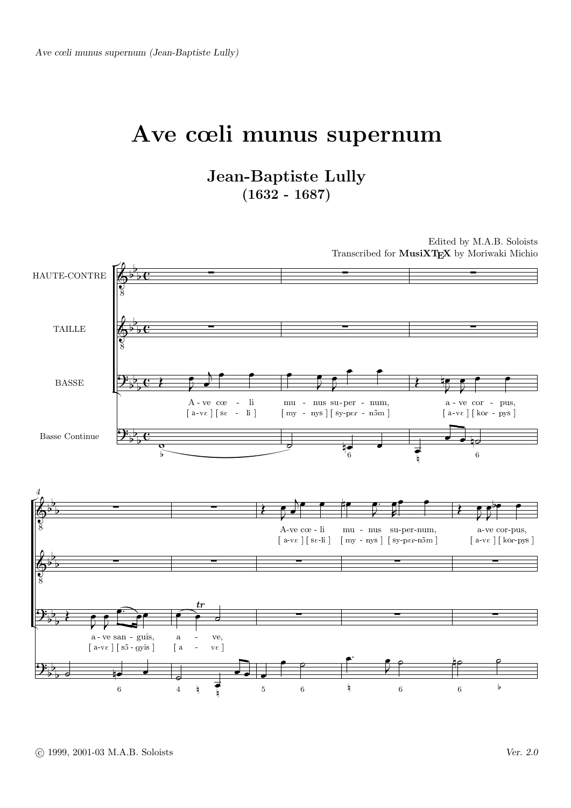## Ave cœli munus supernum

Jean-Baptiste Lully  $(1632 - 1687)$ 

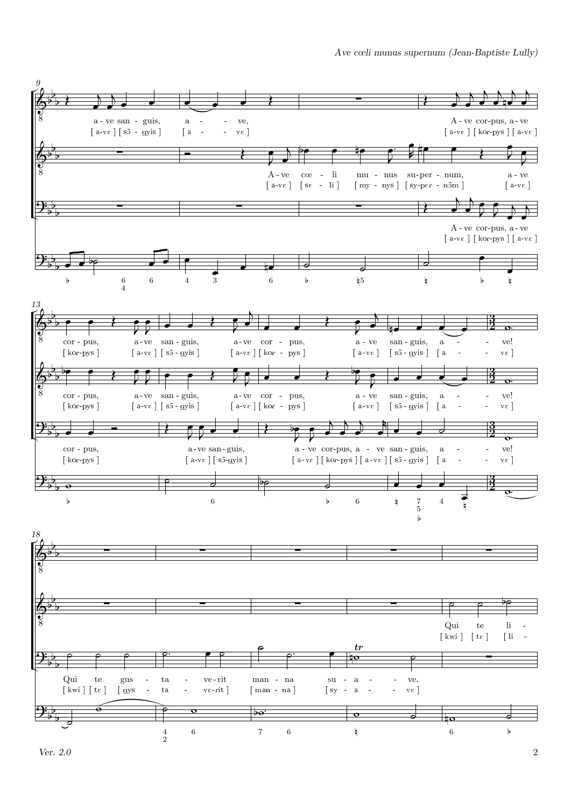

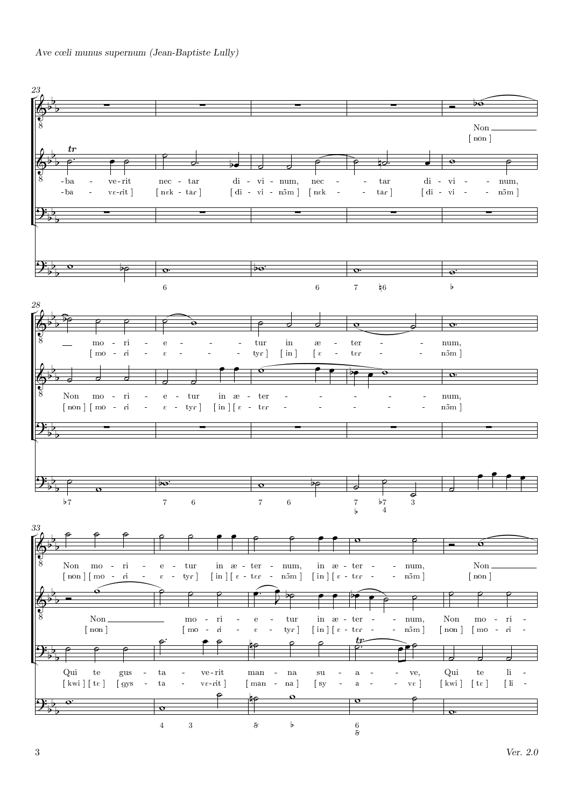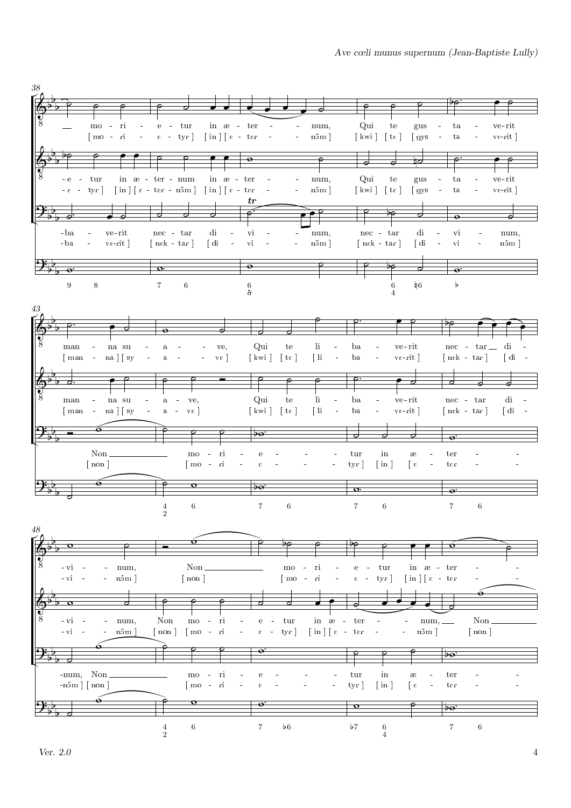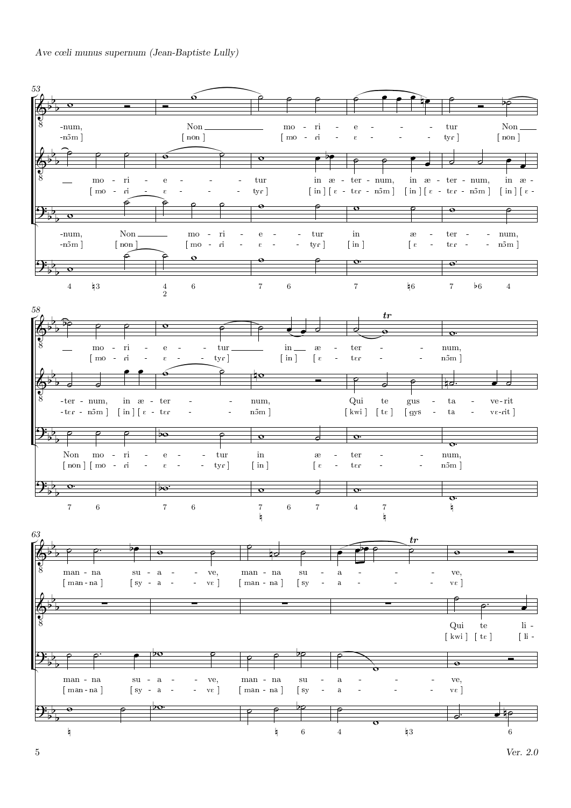Ave cœli munus supernum (Jean-Baptiste Lully)



 $5 \t\t\t Ver. 2.0$